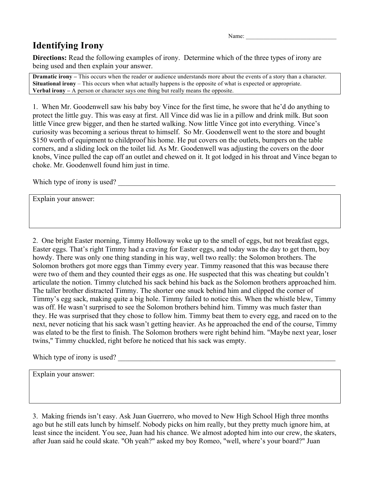Name:

## **Identifying Irony**

**Directions:** Read the following examples of irony. Determine which of the three types of irony are being used and then explain your answer.

**Dramatic irony** – This occurs when the reader or audience understands more about the events of a story than a character. **Situational irony** – This occurs when what actually happens is the opposite of what is expected or appropriate. **Verbal irony –** A person or character says one thing but really means the opposite.

1. When Mr. Goodenwell saw his baby boy Vince for the first time, he swore that he'd do anything to protect the little guy. This was easy at first. All Vince did was lie in a pillow and drink milk. But soon little Vince grew bigger, and then he started walking. Now little Vince got into everything. Vince's curiosity was becoming a serious threat to himself. So Mr. Goodenwell went to the store and bought \$150 worth of equipment to childproof his home. He put covers on the outlets, bumpers on the table corners, and a sliding lock on the toilet lid. As Mr. Goodenwell was adjusting the covers on the door knobs, Vince pulled the cap off an outlet and chewed on it. It got lodged in his throat and Vince began to choke. Mr. Goodenwell found him just in time.

Which type of irony is used?

Explain your answer:

2. One bright Easter morning, Timmy Holloway woke up to the smell of eggs, but not breakfast eggs, Easter eggs. That's right Timmy had a craving for Easter eggs, and today was the day to get them, boy howdy. There was only one thing standing in his way, well two really: the Solomon brothers. The Solomon brothers got more eggs than Timmy every year. Timmy reasoned that this was because there were two of them and they counted their eggs as one. He suspected that this was cheating but couldn't articulate the notion. Timmy clutched his sack behind his back as the Solomon brothers approached him. The taller brother distracted Timmy. The shorter one snuck behind him and clipped the corner of Timmy's egg sack, making quite a big hole. Timmy failed to notice this. When the whistle blew, Timmy was off. He wasn't surprised to see the Solomon brothers behind him. Timmy was much faster than they. He was surprised that they chose to follow him. Timmy beat them to every egg, and raced on to the next, never noticing that his sack wasn't getting heavier. As he approached the end of the course, Timmy was elated to be the first to finish. The Solomon brothers were right behind him. "Maybe next year, loser twins," Timmy chuckled, right before he noticed that his sack was empty.

Which type of irony is used?

Explain your answer:

3. Making friends isn't easy. Ask Juan Guerrero, who moved to New High School High three months ago but he still eats lunch by himself. Nobody picks on him really, but they pretty much ignore him, at least since the incident. You see, Juan had his chance. We almost adopted him into our crew, the skaters, after Juan said he could skate. "Oh yeah?" asked my boy Romeo, "well, where's your board?" Juan